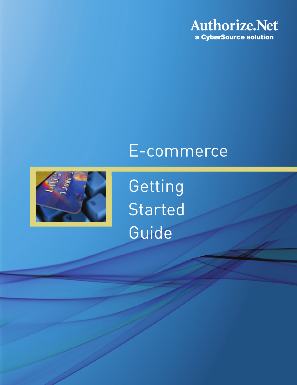

## E-commerce



Getting **Started** Guide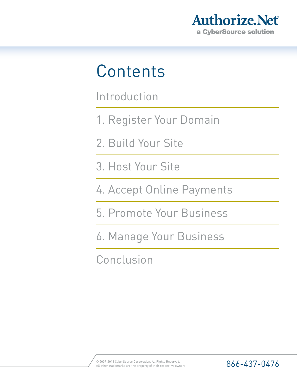

## **Contents**

Introduction

- 1. Register Your Domain
- 2. Build Your Site
- 3. Host Your Site
- 4. Accept Online Payments
- 5. Promote Your Business
- 6. Manage Your Business

Conclusion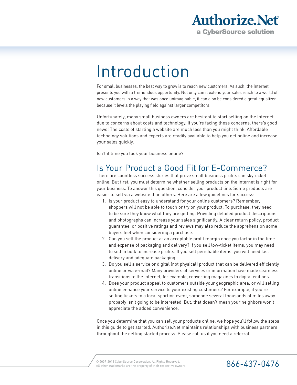

## Introduction

For small businesses, the best way to grow is to reach new customers. As such, the Internet presents you with a tremendous opportunity. Not only can it extend your sales reach to a world of new customers in a way that was once unimaginable, it can also be considered a great equalizer because it levels the playing field against larger competitors.

Unfortunately, many small business owners are hesitant to start selling on the Internet due to concerns about costs and technology. If you're facing these concerns, there's good news! The costs of starting a website are much less than you might think. Affordable technology solutions and experts are readily available to help you get online and increase your sales quickly.

Isn't it time you took your business online?

### Is Your Product a Good Fit for E-Commerce?

There are countless success stories that prove small business profits can skyrocket online. But first, you must determine whether selling products on the Internet is right for your business. To answer this question, consider your product line. Some products are easier to sell via a website than others. Here are a few guidelines for success:

- 1. Is your product easy to understand for your online customers? Remember, shoppers will not be able to touch or try on your product. To purchase, they need to be sure they know what they are getting. Providing detailed product descriptions and photographs can increase your sales significantly. A clear return policy, product guarantee, or positive ratings and reviews may also reduce the apprehension some buyers feel when considering a purchase.
- 2. Can you sell the product at an acceptable profit margin once you factor in the time and expense of packaging and delivery? If you sell low-ticket items, you may need to sell in bulk to increase profits. If you sell perishable items, you will need fast delivery and adequate packaging.
- 3. Do you sell a service or digital (not physical) product that can be delivered efficiently online or via e-mail? Many providers of services or information have made seamless transitions to the Internet, for example, converting magazines to digital editions.
- 4. Does your product appeal to customers outside your geographic area, or will selling online enhance your service to your existing customers? For example, if you're selling tickets to a local sporting event, someone several thousands of miles away probably isn't going to be interested. But, that doesn't mean your neighbors won't appreciate the added convenience.

Once you determine that you can sell your products online, we hope you'll follow the steps in this guide to get started. Authorize.Net maintains relationships with business partners throughout the getting started process. Please call us if you need a referral.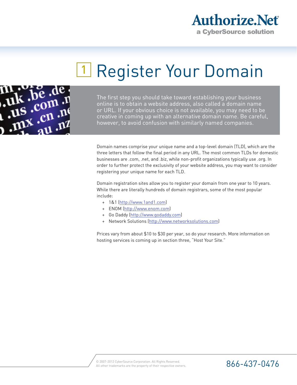

## 1 Register Your Domain



The first step you should take toward establishing your business online is to obtain a website address, also called a domain name or URL. If your obvious choice is not available, you may need to be creative in coming up with an alternative domain name. Be careful, however, to avoid confusion with similarly named companies.

Domain names comprise your unique name and a top-level domain (TLD), which are the three letters that follow the final period in any URL. The most common TLDs for domestic businesses are .com, .net, and .biz, while non-profit organizations typically use .org. In order to further protect the exclusivity of your website address, you may want to consider registering your unique name for each TLD.

Domain registration sites allow you to register your domain from one year to 10 years. While there are literally hundreds of domain registrars, some of the most popular include:

- + 1&1 (http://www.1and1.com)
- + ENOM (http://www.enom.com)
- + Go Daddy (http://www.godaddy.com)
- + Network Solutions (http://www.networksolutions.com)

Prices vary from about \$10 to \$30 per year, so do your research. More information on hosting services is coming up in section three, "Host Your Site."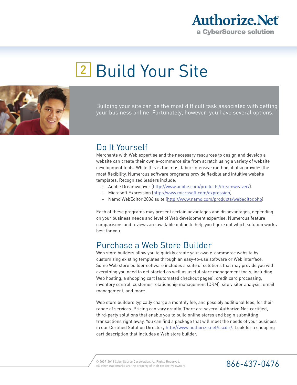

# 2 Build Your Site



Building your site can be the most difficult task associated with getting your business online. Fortunately, however, you have several options.

### Do It Yourself

Merchants with Web expertise and the necessary resources to design and develop a website can create their own e-commerce site from scratch using a variety of website development tools. While this is the most labor-intensive method, it also provides the most flexibility. Numerous software programs provide flexible and intuitive website templates. Recognized leaders include:

- + Adobe Dreamweaver (http://www.adobe.com/products/dreamweaver/)
- + Microsoft Expression (http://www.microsoft.com/expression)
- + Namo WebEditor 2006 suite (http://www.namo.com/products/webeditor.php)

Each of these programs may present certain advantages and disadvantages, depending on your business needs and level of Web development expertise. Numerous feature comparisons and reviews are available online to help you figure out which solution works best for you.

#### Purchase a Web Store Builder

Web store builders allow you to quickly create your own e-commerce website by customizing existing templates through an easy-to-use software or Web interface. Some Web store builder software includes a suite of solutions that may provide you with everything you need to get started as well as useful store management tools, including Web hosting, a shopping cart (automated checkout pages), credit card processing, inventory control, customer relationship management (CRM), site visitor analysis, email management, and more.

Web store builders typically charge a monthly fee, and possibly additional fees, for their range of services. Pricing can vary greatly. There are several Authorize.Net-certified, third-party solutions that enable you to build online stores and begin submitting transactions right away. You can find a package that will meet the needs of your business in our Certified Solution Directory http://www.authorize.net/cscdir/. Look for a shopping cart description that includes a Web store builder.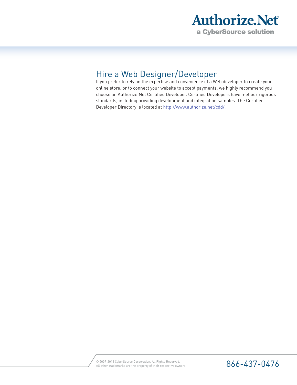

### Hire a Web Designer/Developer

If you prefer to rely on the expertise and convenience of a Web developer to create your online store, or to connect your website to accept payments, we highly recommend you choose an Authorize.Net Certified Developer. Certified Developers have met our rigorous standards, including providing development and integration samples. The Certified Developer Directory is located at http://www.authorize.net/cdd/.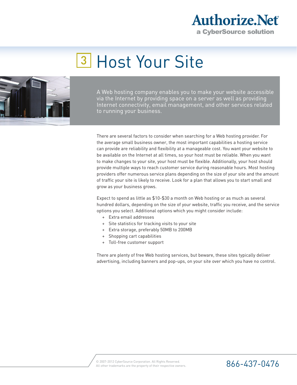

## **3 Host Your Site**



A Web hosting company enables you to make your website accessible via the Internet by providing space on a server as well as providing Internet connectivity, email management, and other services related to running your business.

There are several factors to consider when searching for a Web hosting provider. For the average small business owner, the most important capabilities a hosting service can provide are reliability and flexibility at a manageable cost. You want your website to be available on the Internet at all times, so your host must be reliable. When you want to make changes to your site, your host must be flexible. Additionally, your host should provide multiple ways to reach customer service during reasonable hours. Most hosting providers offer numerous service plans depending on the size of your site and the amount of traffic your site is likely to receive. Look for a plan that allows you to start small and grow as your business grows.

Expect to spend as little as \$10-\$30 a month on Web hosting or as much as several hundred dollars, depending on the size of your website, traffic you receive, and the service options you select. Additional options which you might consider include:

- + Extra email addresses
- + Site statistics for tracking visits to your site
- + Extra storage, preferably 50MB to 200MB
- + Shopping cart capabilities
- + Toll-free customer support

There are plenty of free Web hosting services, but beware, these sites typically deliver advertising, including banners and pop-ups, on your site over which you have no control.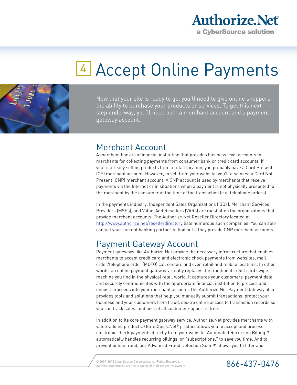

## <sup>4</sup> Accept Online Payments



Now that your site is ready to go, you'll need to give online shoppers the ability to purchase your products or services. To get this next step underway, you'll need both a merchant account and a payment gateway account.

#### Merchant Account

A merchant bank is a financial institution that provides business level accounts to merchants for collecting payments from consumer bank or credit card accounts. If you're already selling products from a retail location, you probably have a Card Present (CP) merchant account. However, to sell from your website, you'll also need a Card Not Present (CNP) merchant account. A CNP account is used by merchants that receive payments via the Internet or in situations when a payment is not physically presented to the merchant by the consumer at the time of the transaction (e.g. telephone orders).

In the payments industry, Independent Sales Organizations (ISOs), Merchant Services Providers (MSPs), and Value-Add Resellers (VARs) are most often the organizations that provide merchant accounts. The Authorize.Net Reseller Directory located at http://www.authorize.net/resellerdirectory lists numerous such companies. You can also contact your current banking partner to find out if they provide CNP merchant accounts.

#### Payment Gateway Account

Payment gateways like Authorize.Net provide the necessary infrastructure that enables merchants to accept credit card and electronic check payments from websites, mail order/telephone order (MOTO) call centers and even retail and mobile locations. In other words, an online payment gateway virtually replaces the traditional credit card swipe machine you find in the physical retail world. It captures your customers' payment data and securely communicates with the appropriate financial institution to process and deposit proceeds into your merchant account. The Authorize.Net Payment Gateway also provides tools and solutions that help you manually submit transactions, protect your business and your customers from fraud, secure online access to transaction records so you can track sales; and best of all customer support is free.

In addition to its core payment gateway service, Authorize.Net provides merchants with value-adding products. Our eCheck.Net® product allows you to accept and process electronic check payments directly from your website. Automated Recurring Billing™ automatically handles recurring billings, or "subscriptions," to save you time. And to prevent online fraud, our Advanced Fraud Detection Suite™ allows you to filter and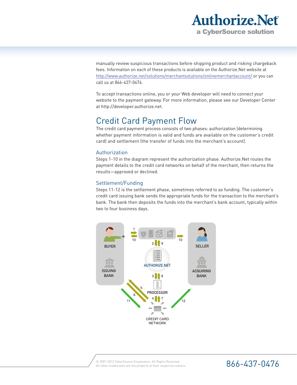

manually review suspicious transactions before shipping product and risking chargeback fees. Information on each of these products is available on the Authorize.Net website at http://www.authorize.net/solutions/merchantsolutions/onlinemerchantaccount/ or you can call us at 866-437-0476.

To accept transactions online, you or your Web developer will need to connect your website to the payment gateway. For more information, please see our Developer Center at http://developer.authorize.net.

### Credit Card Payment Flow

The credit card payment process consists of two phases: authorization (determining whether payment information is valid and funds are available on the customer's credit card) and settlement (the transfer of funds into the merchant's account).

#### Authorization

Steps 1-10 in the diagram represent the authorization phase. Authorize.Net routes the payment details to the credit card networks on behalf of the merchant, then returns the results—approved or declined.

#### Settlement/Funding

Steps 11-12 is the settlement phase, sometimes referred to as funding. The customer's credit card issuing bank sends the appropriate funds for the transaction to the merchant's bank. The bank then deposits the funds into the merchant's bank account, typically within two to four business days.

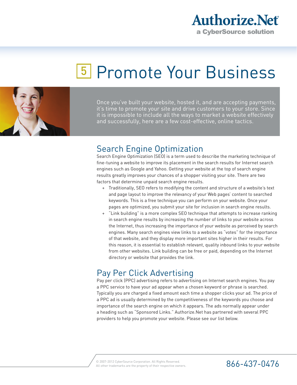

## <sup>5</sup> Promote Your Business



Once you've built your website, hosted it, and are accepting payments, it's time to promote your site and drive customers to your store. Since it is impossible to include all the ways to market a website effectively and successfully, here are a few cost-effective, online tactics.

### Search Engine Optimization

Search Engine Optimization (SEO) is a term used to describe the marketing technique of fine-tuning a website to improve its placement in the search results for Internet search engines such as Google and Yahoo. Getting your website at the top of search engine results greatly improves your chances of a shopper visiting your site. There are two factors that determine unpaid search engine results.

- + Traditionally, SEO refers to modifying the content and structure of a website's text and page layout to improve the relevancy of your Web pages' content to searched keywords. This is a free technique you can perform on your website. Once your pages are optimized, you submit your site for inclusion in search engine results.
- + "Link building" is a more complex SEO technique that attempts to increase ranking in search engine results by increasing the number of links to your website across the Internet, thus increasing the importance of your website as perceived by search engines. Many search engines view links to a website as "votes" for the importance of that website, and they display more important sites higher in their results. For this reason, it is essential to establish relevant, quality inbound links to your website from other websites. Link building can be free or paid, depending on the Internet directory or website that provides the link.

### Pay Per Click Advertising

Pay per click (PPC) advertising refers to advertising on Internet search engines. You pay a PPC service to have your ad appear when a chosen keyword or phrase is searched. Typically you are charged a fixed amount each time a shopper clicks your ad. The price of a PPC ad is usually determined by the competitiveness of the keywords you choose and importance of the search engine on which it appears. The ads normally appear under a heading such as "Sponsored Links." Authorize.Net has partnered with several PPC providers to help you promote your website. Please see our list below.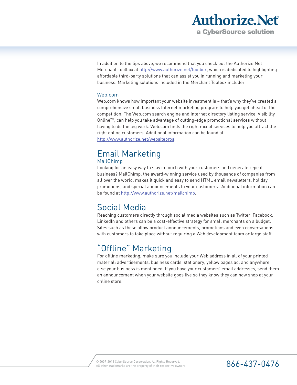

In addition to the tips above, we recommend that you check out the Authorize.Net Merchant Toolbox at http://www.authorize.net/toolbox, which is dedicated to highlighting affordable third-party solutions that can assist you in running and marketing your business. Marketing solutions included in the Merchant Toolbox include:

#### Web.com

Web.com knows how important your website investment is – that's why they've created a comprehensive small business Internet marketing program to help you get ahead of the competition. The Web.com search engine and Internet directory listing service, Visibility Online™, can help you take advantage of cutting-edge promotional services without having to do the leg work. Web.com finds the right mix of services to help you attract the right online customers. Additional information can be found at http://www.authorize.net/websitepros.

### Email Marketing

#### MailChimp

Looking for an easy way to stay in touch with your customers and generate repeat business? MailChimp, the award-winning service used by thousands of companies from all over the world, makes it quick and easy to send HTML email newsletters, holiday promotions, and special announcements to your customers. Additional information can be found at http://www.authorize.net/mailchimp.

### Social Media

Reaching customers directly through social media websites such as Twitter, Facebook, LinkedIn and others can be a cost-effective strategy for small merchants on a budget. Sites such as these allow product announcements, promotions and even conversations with customers to take place without requiring a Web development team or large staff.

#### "Offline" Marketing

For offline marketing, make sure you include your Web address in all of your printed material: advertisements, business cards, stationery, yellow pages ad, and anywhere else your business is mentioned. If you have your customers' email addresses, send them an announcement when your website goes live so they know they can now shop at your online store.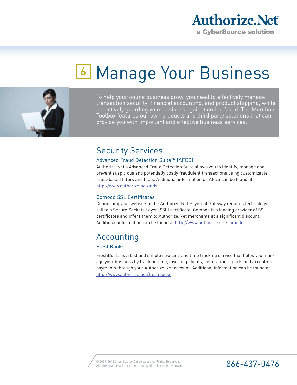

## **6 Manage Your Business**



To help your online business grow, you need to effectively manage transaction security, financial accounting, and product shipping, while proactively guarding your business against online fraud. The Merchant Toolbox features our own products and third party solutions that can provide you with important and effective business services.

### Security Services

#### Advanced Fraud Detection Suite™ (AFDS)

Authorize.Net's Advanced Fraud Detection Suite allows you to identify, manage and prevent suspicious and potentially costly fraudulent transactions using customizable, rules-based filters and tools. Additional information on AFDS can be found at http://www.authorize.net/afds.

#### Comodo SSL Certificates

Connecting your website to the Authorize.Net Payment Gateway requires technology called a Secure Sockets Layer (SSL) certificate. Comodo is a leading provider of SSL certificates and offers them to Authorize.Net merchants at a significant discount. Additional information can be found at http://www.authorize.net/comodo.

## Accounting

#### **FreshBooks**

FreshBooks is a fast and simple invoicing and time tracking service that helps you manage your business by tracking time, invoicing clients, generating reports and accepting payments through your Authorize.Net account. Additional information can be found at http://www.authorize.net/freshbooks.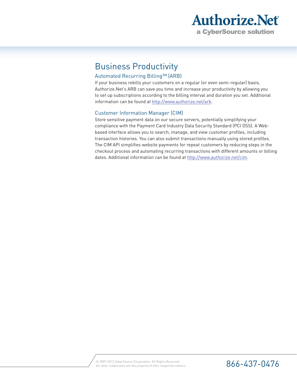

### Business Productivity

#### Automated Recurring Billing™ (ARB)

If your business rebills your customers on a regular (or even semi-regular) basis, Authorize.Net's ARB can save you time and increase your productivity by allowing you to set up subscriptions according to the billing interval and duration you set. Additional information can be found at http://www.authorize.net/arb.

#### Customer Information Manager (CIM)

Store sensitive payment data on our secure servers, potentially simplifying your compliance with the Payment Card Industry Data Security Standard (PCI DSS). A Webbased interface allows you to search, manage, and view customer profiles, including transaction histories. You can also submit transactions manually using stored profiles. The CIM API simplifies website payments for repeat customers by reducing steps in the checkout process and automating recurring transactions with different amounts or billing dates. Additional information can be found at http://www.authorize.net/cim.